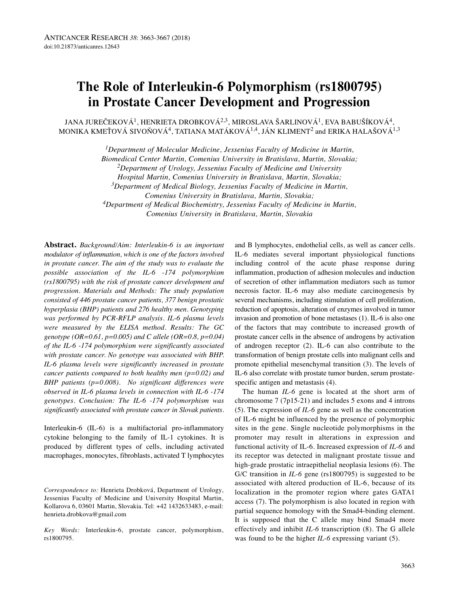# **The Role of Interleukin-6 Polymorphism (rs1800795) in Prostate Cancer Development and Progression**

JANA JUREČEKOVÁ<sup>1</sup>, HENRIETA DROBKOVÁ<sup>2,3</sup>, MIROSLAVA ŠARLINOVÁ<sup>1</sup>, EVA BABUŠÍKOVÁ<sup>4</sup>, MONIKA KMEŤOVÁ SIVOŇOVÁ<sup>4</sup>, TATIANA MATÁKOVÁ<sup>1,4</sup>, JÁN KLIMENT<sup>2</sup> and ERIKA HALAŠOVÁ<sup>1,3</sup>

*1Department of Molecular Medicine, Jessenius Faculty of Medicine in Martin,*

*Biomedical Center Martin, Comenius University in Bratislava, Martin, Slovakia;*

*2Department of Urology, Jessenius Faculty of Medicine and University*

*Hospital Martin, Comenius University in Bratislava, Martin, Slovakia;*

*3Department of Medical Biology, Jessenius Faculty of Medicine in Martin,*

*Comenius University in Bratislava, Martin, Slovakia;*

*4Department of Medical Biochemistry, Jessenius Faculty of Medicine in Martin,*

*Comenius University in Bratislava, Martin, Slovakia*

**Abstract.** *Background/Aim: Interleukin-6 is an important modulator of inflammation, which is one of the factors involved in prostate cancer. The aim of the study was to evaluate the possible association of the IL-6 -174 polymorphism (rs1800795) with the risk of prostate cancer development and progression. Materials and Methods: The study population consisted of 446 prostate cancer patients, 377 benign prostatic hyperplasia (BHP) patients and 276 healthy men. Genotyping was performed by PCR-RFLP analysis. IL-6 plasma levels were measured by the ELISA method. Results: The GC genotype (OR=0.61, p=0.005) and C allele (OR=0.8, p=0.04) of the IL-6 -174 polymorphism were significantly associated with prostate cancer. No genotype was associated with BHP. IL-6 plasma levels were significantly increased in prostate cancer patients compared to both healthy men (p=0.02) and BHP patients (p=0.008). No significant differences were observed in IL-6 plasma levels in connection with IL-6 -174 genotypes. Conclusion: The IL-6 -174 polymorphism was significantly associated with prostate cancer in Slovak patients.*

Interleukin-6 (IL-6) is a multifactorial pro-inflammatory cytokine belonging to the family of IL-1 cytokines. It is produced by different types of cells, including activated macrophages, monocytes, fibroblasts, activated T lymphocytes

*Correspondence to:* Henrieta Drobková, Department of Urology, Jessenius Faculty of Medicine and University Hospital Martin, Kollarova 6, 03601 Martin, Slovakia. Tel: +42 1432633483, e-mail: henrieta.drobkova@gmail.com

*Key Words:* Interleukin-6, prostate cancer, polymorphism, rs1800795.

and B lymphocytes, endothelial cells, as well as cancer cells. IL-6 mediates several important physiological functions including control of the acute phase response during inflammation, production of adhesion molecules and induction of secretion of other inflammation mediators such as tumor necrosis factor. IL-6 may also mediate carcinogenesis by several mechanisms, including stimulation of cell proliferation, reduction of apoptosis, alteration of enzymes involved in tumor invasion and promotion of bone metastases (1). IL-6 is also one of the factors that may contribute to increased growth of prostate cancer cells in the absence of androgens by activation of androgen receptor (2). IL-6 can also contribute to the transformation of benign prostate cells into malignant cells and promote epithelial mesenchymal transition (3). The levels of IL-6 also correlate with prostate tumor burden, serum prostatespecific antigen and metastasis (4).

The human *IL-6* gene is located at the short arm of chromosome 7 (7p15-21) and includes 5 exons and 4 introns (5). The expression of *IL-6* gene as well as the concentration of IL-6 might be influenced by the presence of polymorphic sites in the gene. Single nucleotide polymorphisms in the promoter may result in alterations in expression and functional activity of IL-6. Increased expression of *IL-6* and its receptor was detected in malignant prostate tissue and high-grade prostatic intraepithelial neoplasia lesions (6). The G/C transition in *IL-6* gene (rs1800795) is suggested to be associated with altered production of IL-6, because of its localization in the promoter region where gates GATA1 access (7). The polymorphism is also located in region with partial sequence homology with the Smad4-binding element. It is supposed that the C allele may bind Smad4 more effectively and inhibit *IL-6* transcription (8). The G allele was found to be the higher *IL-6* expressing variant (5).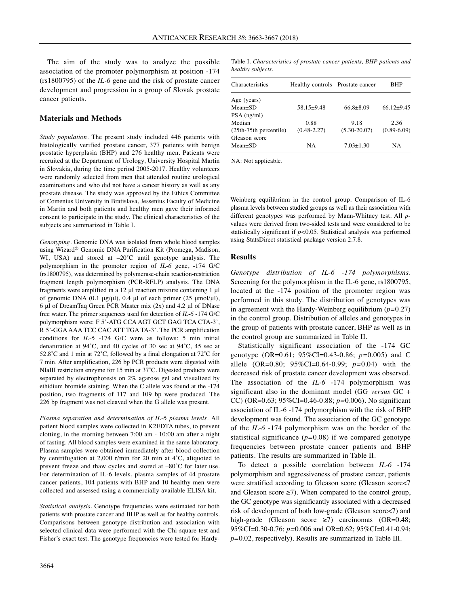The aim of the study was to analyze the possible association of the promoter polymorphism at position -174 (rs1800795) of the *IL-6* gene and the risk of prostate cancer development and progression in a group of Slovak prostate cancer patients.

## **Materials and Methods**

*Study population.* The present study included 446 patients with histologically verified prostate cancer, 377 patients with benign prostatic hyperplasia (BHP) and 276 healthy men. Patients were recruited at the Department of Urology, University Hospital Martin in Slovakia, during the time period 2005-2017. Healthy volunteers were randomly selected from men that attended routine urological examinations and who did not have a cancer history as well as any prostate disease. The study was approved by the Ethics Committee of Comenius University in Bratislava, Jessenius Faculty of Medicine in Martin and both patients and healthy men gave their informed consent to participate in the study. The clinical characteristics of the subjects are summarized in Table I.

*Genotyping.* Genomic DNA was isolated from whole blood samples using Wizard® Genomic DNA Purification Kit (Promega, Madison, WI, USA) and stored at  $-20^{\circ}$ C until genotype analysis. The polymorphism in the promoter region of *IL-6* gene, -174 G/C (rs1800795), was determined by polymerase-chain reaction-restriction fragment length polymorphism (PCR-RFLP) analysis. The DNA fragments were amplified in a 12 μl reaction mixture containing 1 μl of genomic DNA (0.1 μg/μl), 0.4 μl of each primer (25 μmol/μl), 6 μl of DreamTaq Green PCR Master mix (2x) and 4.2 μl of DNase free water. The primer sequences used for detection of *IL-6* -174 G/C polymorphism were: F 5'-ATG CCA AGT GCT GAG TCA CTA-3', R 5'-GGA AAA TCC CAC ATT TGA TA-3'. The PCR amplification conditions for *IL-6* -174 G/C were as follows: 5 min initial denaturation at 94˚C, and 40 cycles of 30 sec at 94˚C, 45 sec at 52.8˚C and 1 min at 72˚C, followed by a final elongation at 72˚C for 7 min. After amplification, 226 bp PCR products were digested with NIaIII restriction enzyme for 15 min at 37˚C. Digested products were separated by electrophoresis on 2% agarose gel and visualized by ethidium bromide staining. When the C allele was found at the -174 position, two fragments of 117 and 109 bp were produced. The 226 bp fragment was not cleaved when the G allele was present.

*Plasma separation and determination of IL-6 plasma levels.* All patient blood samples were collected in K2EDTA tubes, to prevent clotting, in the morning between 7:00 am - 10:00 am after a night of fasting. All blood samples were examined in the same laboratory. Plasma samples were obtained immediately after blood collection by centrifugation at 2,000 r/min for 20 min at 4˚C, aliquoted to prevent freeze and thaw cycles and stored at –80˚C for later use. For determination of IL-6 levels, plasma samples of 44 prostate cancer patients, 104 patients with BHP and 10 healthy men were collected and assessed using a commercially available ELISA kit.

*Statistical analysis.* Genotype frequencies were estimated for both patients with prostate cancer and BHP as well as for healthy controls. Comparisons between genotype distribution and association with selected clinical data were performed with the Chi-square test and Fisher's exact test. The genotype frequencies were tested for Hardy-

Table I. *Characteristics of prostate cancer patients, BHP patients and healthy subjects.*

| Characteristics           | Healthy controls Prostate cancer |                  | BHP              |  |
|---------------------------|----------------------------------|------------------|------------------|--|
| Age (years)               |                                  |                  |                  |  |
| $Mean \pm SD$             | $58.15+9.48$                     | $66.8 \pm 8.09$  | $66.12 \pm 9.45$ |  |
| $PSA$ (ng/ml)             |                                  |                  |                  |  |
| Median                    | 0.88                             | 9.18             | 2.36             |  |
| $(25th-75th)$ percentile) | $(0.48 - 2.27)$                  | $(5.30 - 20.07)$ | $(0.89 - 6.09)$  |  |
| Gleason score             |                                  |                  |                  |  |
| $Mean \pm SD$             | NA                               | $7.03 \pm 1.30$  | NА               |  |

NA: Not applicable.

Weinberg equilibrium in the control group. Comparison of IL-6 plasma levels between studied groups as well as their association with different genotypes was performed by Mann-Whitney test. All *p*values were derived from two-sided tests and were considered to be statistically significant if *p<*0.05. Statistical analysis was performed using StatsDirect statistical package version 2.7.8.

# **Results**

*Genotype distribution of IL-6 -174 polymorphisms.* Screening for the polymorphism in the IL-6 gene, rs1800795, located at the -174 position of the promoter region was performed in this study. The distribution of genotypes was in agreement with the Hardy-Weinberg equilibrium (*p=*0.27) in the control group. Distribution of alleles and genotypes in the group of patients with prostate cancer, BHP as well as in the control group are summarized in Table II.

Statistically significant association of the -174 GC genotype (OR=0.61; 95%CI=0.43-0.86; *p=*0.005) and C allele (OR=0.80; 95%CI=0.64-0.99; *p=*0.04) with the decreased risk of prostate cancer development was observed. The association of the *IL-6* -174 polymorphism was significant also in the dominant model (GG *versus* GC + CC) (OR=0.63; 95%CI=0.46-0.88; *p=*0.006). No significant association of IL-6 -174 polymorphism with the risk of BHP development was found. The association of the GC genotype of the *IL-6* -174 polymorphism was on the border of the statistical significance (*p=*0.08) if we compared genotype frequencies between prostate cancer patients and BHP patients. The results are summarized in Table II.

To detect a possible correlation between *IL-6* -174 polymorphism and aggressiveness of prostate cancer, patients were stratified according to Gleason score (Gleason score<7 and Gleason score  $\geq$ 7). When compared to the control group, the GC genotype was significantly associated with a decreased risk of development of both low-grade (Gleason score<7) and high-grade (Gleason score ≥7) carcinomas (OR=0.48; 95%CI=0.30-0.76; *p=*0.006 and OR=0.62; 95%CI=0.41-0.94; *p=*0.02, respectively). Results are summarized in Table III.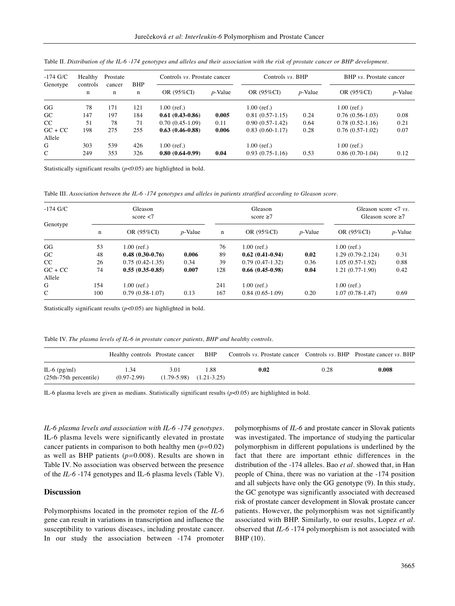| $-174$ G/C          | Healthy       | Prostate    |                 | Controls <i>vs.</i> Prostate cancer |            | Controls $vs.$ BHP |            | BHP vs. Prostate cancer |            |
|---------------------|---------------|-------------|-----------------|-------------------------------------|------------|--------------------|------------|-------------------------|------------|
| Genotype            | controls<br>n | cancer<br>n | <b>BHP</b><br>n | OR (95%CI)                          | $p$ -Value | OR (95%CI)         | $p$ -Value | OR (95%CI)              | $p$ -Value |
| GG                  | 78            | 171         | 121             | $1.00$ (ref.)                       |            | $1.00$ (ref.)      |            | $1.00$ (ref.)           |            |
| <b>GC</b>           | 147           | 197         | 184             | $0.61(0.43-0.86)$                   | 0.005      | $0.81(0.57-1.15)$  | 0.24       | $0.76(0.56-1.03)$       | 0.08       |
| CC                  | 51            | 78          | 71              | $0.70(0.45-1.09)$                   | 0.11       | $0.90(0.57-1.42)$  | 0.64       | $0.78(0.52-1.16)$       | 0.21       |
| $GC + CC$<br>Allele | 198           | 275         | 255             | $0.63(0.46-0.88)$                   | 0.006      | $0.83(0.60-1.17)$  | 0.28       | $0.76(0.57-1.02)$       | 0.07       |
| G                   | 303           | 539         | 426             | $1.00$ (ref.)                       |            | $1.00$ (ref.)      |            | $1.00$ (ref.)           |            |
| $\mathcal{C}$       | 249           | 353         | 326             | $0.80(0.64-0.99)$                   | 0.04       | $0.93(0.75-1.16)$  | 0.53       | $0.86(0.70-1.04)$       | 0.12       |

Table II. Distribution of the IL-6 -174 genotypes and alleles and their association with the risk of prostate cancer or BHP development.

Statistically significant results (*p*<0.05) are highlighted in bold.

Table III. *Association between the IL-6 -174 genotypes and alleles in patients stratified according to Gleason score.*

| $-174$ G/C<br>Genotype |             | Gleason<br>score $<$ 7 |            |     | Gleason<br>score $\geq 7$ | Gleason score $\langle 7 \rangle$ vs.<br>Gleason score $\geq 7$ |                    |            |
|------------------------|-------------|------------------------|------------|-----|---------------------------|-----------------------------------------------------------------|--------------------|------------|
|                        | $\mathbf n$ | OR (95%CI)             | $p$ -Value | n   | OR (95%CI)                | $p$ -Value                                                      | OR (95%CI)         | $p$ -Value |
| GG                     | 53          | $1.00$ (ref.)          |            | 76  | $1.00$ (ref.)             |                                                                 | $1.00$ (ref.)      |            |
| GC.                    | 48          | $0.48(0.30-0.76)$      | 0.006      | 89  | $0.62(0.41-0.94)$         | 0.02                                                            | $1.29(0.79-2.124)$ | 0.31       |
| CC                     | 26          | $0.75(0.42-1.35)$      | 0.34       | 39  | $0.79(0.47-1.32)$         | 0.36                                                            | $1.05(0.57-1.92)$  | 0.88       |
| $GC + CC$<br>Allele    | 74          | $0.55(0.35-0.85)$      | 0.007      | 128 | $0.66(0.45-0.98)$         | 0.04                                                            | $1.21(0.77-1.90)$  | 0.42       |
| G                      | 154         | $1.00$ (ref.)          |            | 241 | $1.00$ (ref.)             |                                                                 | $1.00$ (ref.)      |            |
| $\mathcal{C}$          | 100         | $0.79(0.58-1.07)$      | 0.13       | 167 | $0.84(0.65-1.09)$         | 0.20                                                            | $1.07(0.78-1.47)$  | 0.69       |

Statistically significant results (*p*<0.05) are highlighted in bold.

Table IV. *The plasma levels of IL-6 in prostate cancer patients, BHP and healthy controls.*

|                                             | Healthy controls Prostate cancer BHP |                                     |      | Controls vs. Prostate cancer Controls vs. BHP Prostate cancer vs. BHP |      |       |
|---------------------------------------------|--------------------------------------|-------------------------------------|------|-----------------------------------------------------------------------|------|-------|
| IL-6 $(pg/ml)$<br>$(25th-75th)$ percentile) | 1.34<br>$(0.97 - 2.99)$              | 3.01<br>$(1.79-5.98)$ $(1.21-3.25)$ | 1.88 | 0.02                                                                  | 0.28 | 0.008 |

IL-6 plasma levels are given as medians. Statistically significant results (*p*<0.05) are highlighted in bold.

*IL-6 plasma levels and association with IL-6 -174 genotypes.* IL-6 plasma levels were significantly elevated in prostate cancer patients in comparison to both healthy men (*p=*0.02) as well as BHP patients (*p=*0.008). Results are shown in Table IV. No association was observed between the presence of the *IL-6* -174 genotypes and IL-6 plasma levels (Table V).

#### **Discussion**

Polymorphisms located in the promoter region of the *IL-6* gene can result in variations in transcription and influence the susceptibility to various diseases, including prostate cancer. In our study the association between -174 promoter polymorphisms of *IL-6* and prostate cancer in Slovak patients was investigated. The importance of studying the particular polymorphism in different populations is underlined by the fact that there are important ethnic differences in the distribution of the -174 alleles. Bao *et al.* showed that, in Han people of China, there was no variation at the -174 position and all subjects have only the GG genotype (9). In this study, the GC genotype was significantly associated with decreased risk of prostate cancer development in Slovak prostate cancer patients. However, the polymorphism was not significantly associated with BHP. Similarly, to our results, Lopez *et al.* observed that *IL-6* -174 polymorphism is not associated with BHP (10).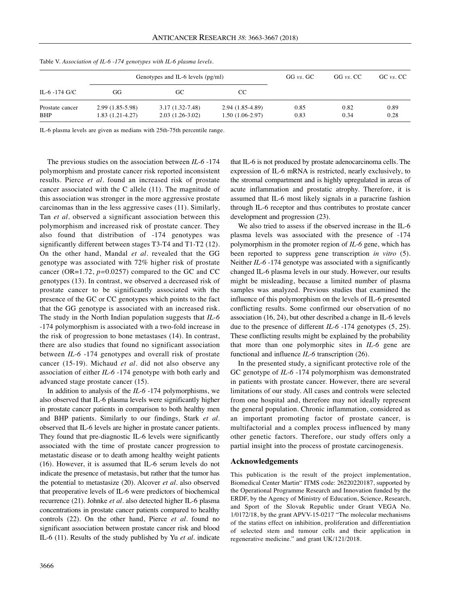| IL-6 -174 G/C                 |                                        | Genotypes and IL-6 levels $(pg/ml)$      | GG vs. GC                             | GG vs. CC    | GC vs. CC    |              |
|-------------------------------|----------------------------------------|------------------------------------------|---------------------------------------|--------------|--------------|--------------|
|                               | GG                                     | GC.                                      | CC.                                   |              |              |              |
| Prostate cancer<br><b>BHP</b> | $2.99(1.85-5.98)$<br>$1.83(1.21-4.27)$ | $3.17(1.32 - 7.48)$<br>$2.03(1.26-3.02)$ | 2.94 (1.85-4.89)<br>$1.50(1.06-2.97)$ | 0.85<br>0.83 | 0.82<br>0.34 | 0.89<br>0.28 |

Table V. *Association of IL-6 -174 genotypes with IL-6 plasma levels.*

IL-6 plasma levels are given as medians with 25th-75th percentile range.

The previous studies on the association between *IL-6* -174 polymorphism and prostate cancer risk reported inconsistent results. Pierce *et al.* found an increased risk of prostate cancer associated with the C allele (11). The magnitude of this association was stronger in the more aggressive prostate carcinomas than in the less aggressive cases (11). Similarly, Tan *et al.* observed a significant association between this polymorphism and increased risk of prostate cancer. They also found that distribution of -174 genotypes was significantly different between stages T3-T4 and T1-T2 (12). On the other hand, Mandal *et al.* revealed that the GG genotype was associated with 72% higher risk of prostate cancer (OR=1.72, *p=*0.0257) compared to the GC and CC genotypes (13). In contrast, we observed a decreased risk of prostate cancer to be significantly associated with the presence of the GC or CC genotypes which points to the fact that the GG genotype is associated with an increased risk. The study in the North Indian population suggests that *IL-6* -174 polymorphism is associated with a two-fold increase in the risk of progression to bone metastases (14). In contrast, there are also studies that found no significant association between *IL-6* -174 genotypes and overall risk of prostate cancer (15-19). Michaud *et al.* did not also observe any association of either *IL-6* -174 genotype with both early and advanced stage prostate cancer (15).

In addition to analysis of the *IL-6* -174 polymorphisms, we also observed that IL-6 plasma levels were significantly higher in prostate cancer patients in comparison to both healthy men and BHP patients. Similarly to our findings, Stark *et al.* observed that IL-6 levels are higher in prostate cancer patients. They found that pre-diagnostic IL-6 levels were significantly associated with the time of prostate cancer progression to metastatic disease or to death among healthy weight patients (16). However, it is assumed that IL-6 serum levels do not indicate the presence of metastasis, but rather that the tumor has the potential to metastasize (20). Alcover *et al.* also observed that preoperative levels of IL-6 were predictors of biochemical recurrence (21). Johnke *et al.* also detected higher IL-6 plasma concentrations in prostate cancer patients compared to healthy controls (22). On the other hand, Pierce *et al.* found no significant association between prostate cancer risk and blood IL-6 (11). Results of the study published by Yu *et al.* indicate that IL-6 is not produced by prostate adenocarcinoma cells. The expression of IL-6 mRNA is restricted, nearly exclusively, to the stromal compartment and is highly upregulated in areas of acute inflammation and prostatic atrophy. Therefore, it is assumed that IL-6 most likely signals in a paracrine fashion through IL-6 receptor and thus contributes to prostate cancer development and progression (23).

We also tried to assess if the observed increase in the IL-6 plasma levels was associated with the presence of -174 polymorphism in the promoter region of *IL-6* gene, which has been reported to suppress gene transcription *in vitro* (5). Neither *IL-6* -174 genotype was associated with a significantly changed IL-6 plasma levels in our study. However, our results might be misleading, because a limited number of plasma samples was analyzed. Previous studies that examined the influence of this polymorphism on the levels of IL-6 presented conflicting results. Some confirmed our observation of no association (16, 24), but other described a change in IL-6 levels due to the presence of different *IL-6* -174 genotypes (5, 25). These conflicting results might be explained by the probability that more than one polymorphic sites in *IL-6* gene are functional and influence *IL-6* transcription (26).

In the presented study, a significant protective role of the GC genotype of *IL-6* -174 polymorphism was demonstrated in patients with prostate cancer. However, there are several limitations of our study. All cases and controls were selected from one hospital and, therefore may not ideally represent the general population. Chronic inflammation, considered as an important promoting factor of prostate cancer, is multifactorial and a complex process influenced by many other genetic factors. Therefore, our study offers only a partial insight into the process of prostate carcinogenesis.

#### **Acknowledgements**

This publication is the result of the project implementation, Biomedical Center Martin" ITMS code: 26220220187, supported by the Operational Programme Research and Innovation funded by the ERDF, by the Agency of Ministry of Education, Science, Research, and Sport of the Slovak Republic under Grant VEGA No. 1/0172/18, by the grant APVV-15-0217 "The molecular mechanisms of the statins effect on inhibition, proliferation and differentiation of selected stem and tumour cells and their application in regenerative medicine." and grant UK/121/2018.